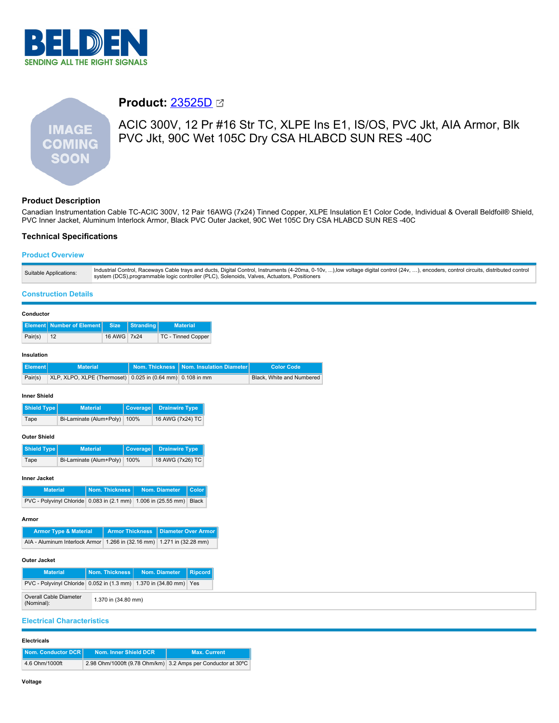

# **IMAGE COMING SOON**

# **Product:** [23525D](https://catalog.belden.com/index.cfm?event=pd&p=PF_23525D&tab=downloads)

ACIC 300V, 12 Pr #16 Str TC, XLPE Ins E1, IS/OS, PVC Jkt, AIA Armor, Blk PVC Jkt, 90C Wet 105C Dry CSA HLABCD SUN RES -40C

# **Product Description**

Canadian Instrumentation Cable TC-ACIC 300V, 12 Pair 16AWG (7x24) Tinned Copper, XLPE Insulation E1 Color Code, Individual & Overall Beldfoil® Shield, PVC Inner Jacket, Aluminum Interlock Armor, Black PVC Outer Jacket, 90C Wet 105C Dry CSA HLABCD SUN RES -40C

# **Technical Specifications**

# **Product Overview**

| Suitable Applications: | Industrial Control, Raceways Cable trays and ducts, Digital Control, Instruments (4-20ma, 0-10v, ),low voltage digital control (24v, ), encoders, control circuits, distributed control (attituded control<br>system (DCS), programmable logic controller (PLC), Solenoids, Valves, Actuators, Positioners |
|------------------------|------------------------------------------------------------------------------------------------------------------------------------------------------------------------------------------------------------------------------------------------------------------------------------------------------------|
|------------------------|------------------------------------------------------------------------------------------------------------------------------------------------------------------------------------------------------------------------------------------------------------------------------------------------------------|

### **Construction Details**

| Conductor           |                                            |                |                        |                       |                                |                           |
|---------------------|--------------------------------------------|----------------|------------------------|-----------------------|--------------------------------|---------------------------|
| Element             | <b>Number of Element</b>                   | <b>Size</b>    | <b>Stranding</b>       |                       | <b>Material</b>                |                           |
| Pair(s)             | 12                                         | 16 AWG         | 7x24                   |                       | <b>TC - Tinned Copper</b>      |                           |
| Insulation          |                                            |                |                        |                       |                                |                           |
| <b>Element</b>      | <b>Material</b>                            |                | <b>Nom. Thickness</b>  |                       | Nom. Insulation Diameter       | <b>Color Code</b>         |
| Pair(s)             | XLP, XLPO, XLPE (Thermoset)                |                |                        |                       | 0.025 in (0.64 mm) 0.108 in mm | Black, White and Numbered |
| <b>Inner Shield</b> |                                            |                |                        |                       |                                |                           |
| <b>Shield Type</b>  | <b>Material</b>                            |                | Coverage               | <b>Drainwire Type</b> |                                |                           |
| Tape                | Bi-Laminate (Alum+Poly)                    |                | 100%                   | 16 AWG (7x24) TC      |                                |                           |
| <b>Outer Shield</b> |                                            |                |                        |                       |                                |                           |
| <b>Shield Type</b>  | <b>Material</b>                            |                | <b>Coverage</b>        | <b>Drainwire Type</b> |                                |                           |
| Tape                | Bi-Laminate (Alum+Poly)                    |                | 100%                   | 18 AWG (7x26) TC      |                                |                           |
| <b>Inner Jacket</b> |                                            |                |                        |                       |                                |                           |
|                     | <b>Material</b>                            | Nom. Thickness |                        | Nom. Diameter         | Color                          |                           |
|                     | PVC - Polyvinyl Chloride 0.083 in (2.1 mm) |                |                        | 1.006 in (25.55 mm)   | <b>Black</b>                   |                           |
| Armor               |                                            |                |                        |                       |                                |                           |
|                     | <b>Armor Type &amp; Material</b>           |                | <b>Armor Thickness</b> |                       | <b>Diameter Over Armor</b>     |                           |
|                     | AIA - Aluminum Interlock Armor             |                | 1.266 in (32.16 mm)    |                       | 1.271 in (32.28 mm)            |                           |
|                     |                                            |                |                        |                       |                                |                           |

#### **Outer Jacket**

| <b>Material</b>                                                          | <b>Nom. Thickness I</b> | Nom. Diameter | Ripcord |
|--------------------------------------------------------------------------|-------------------------|---------------|---------|
| PVC - Polyvinyl Chloride   0.052 in (1.3 mm)   1.370 in (34.80 mm)   Yes |                         |               |         |
| Overall Cable Diameter<br>(Nominal):                                     | 1.370 in (34.80 mm)     |               |         |

## **Electrical Characteristics**

#### **Electricals**

| Nom. Conductor DCR I | Nom. Inner Shield DCR | <b>Max. Current</b>                                          |
|----------------------|-----------------------|--------------------------------------------------------------|
| 4.6 Ohm/1000ft       |                       | 2.98 Ohm/1000ft (9.78 Ohm/km) 3.2 Amps per Conductor at 30°C |